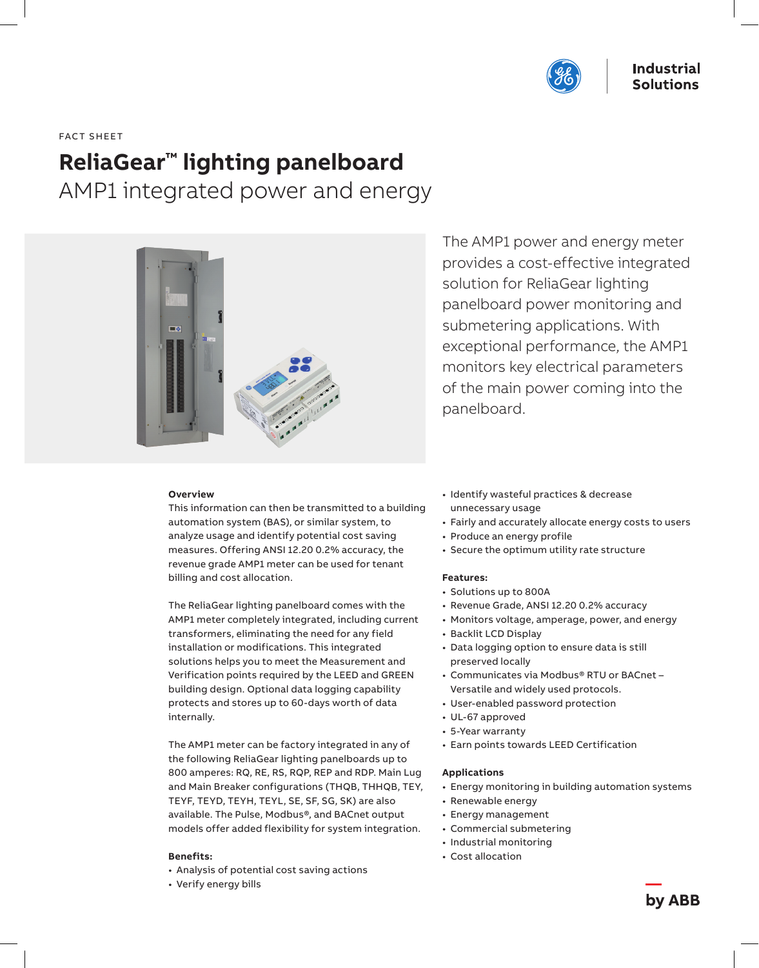

FACT SHEET

# **ReliaGear™ lighting panelboard**

AMP1 integrated power and energy



The AMP1 power and energy meter provides a cost-effective integrated solution for ReliaGear lighting panelboard power monitoring and submetering applications. With exceptional performance, the AMP1 monitors key electrical parameters of the main power coming into the panelboard.

#### **Overview**

This information can then be transmitted to a building automation system (BAS), or similar system, to analyze usage and identify potential cost saving measures. Offering ANSI 12.20 0.2% accuracy, the revenue grade AMP1 meter can be used for tenant billing and cost allocation.

The ReliaGear lighting panelboard comes with the AMP1 meter completely integrated, including current transformers, eliminating the need for any field installation or modifications. This integrated solutions helps you to meet the Measurement and Verification points required by the LEED and GREEN building design. Optional data logging capability protects and stores up to 60-days worth of data internally.

The AMP1 meter can be factory integrated in any of the following ReliaGear lighting panelboards up to 800 amperes: RQ, RE, RS, RQP, REP and RDP. Main Lug and Main Breaker configurations (THQB, THHQB, TEY, TEYF, TEYD, TEYH, TEYL, SE, SF, SG, SK) are also available. The Pulse, Modbus®, and BACnet output models offer added flexibility for system integration.

# **Benefits:**

- Analysis of potential cost saving actions
- Verify energy bills
- Identify wasteful practices & decrease unnecessary usage
- Fairly and accurately allocate energy costs to users
- Produce an energy profile
- Secure the optimum utility rate structure

### **Features:**

- Solutions up to 800A
- Revenue Grade, ANSI 12.20 0.2% accuracy
- Monitors voltage, amperage, power, and energy
- Backlit LCD Display
- Data logging option to ensure data is still preserved locally
- Communicates via Modbus® RTU or BACnet Versatile and widely used protocols.
- User-enabled password protection
- UL-67 approved
- 5-Year warranty
- Earn points towards LEED Certification

#### **Applications**

- Energy monitoring in building automation systems
- Renewable energy
- Energy management
- Commercial submetering
- Industrial monitoring
- Cost allocation